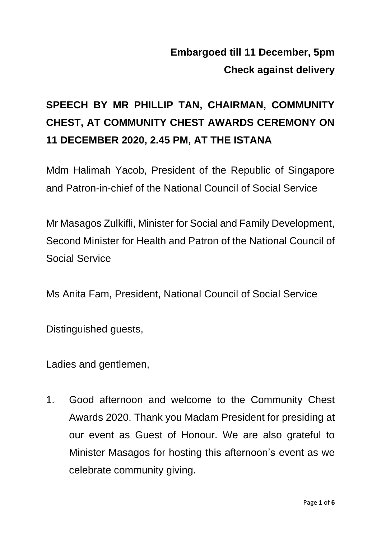## **Embargoed till 11 December, 5pm Check against delivery**

## **SPEECH BY MR PHILLIP TAN, CHAIRMAN, COMMUNITY CHEST, AT COMMUNITY CHEST AWARDS CEREMONY ON 11 DECEMBER 2020, 2.45 PM, AT THE ISTANA**

Mdm Halimah Yacob, President of the Republic of Singapore and Patron-in-chief of the National Council of Social Service

Mr Masagos Zulkifli, Minister for Social and Family Development, Second Minister for Health and Patron of the National Council of Social Service

Ms Anita Fam, President, National Council of Social Service

Distinguished guests,

Ladies and gentlemen,

1. Good afternoon and welcome to the Community Chest Awards 2020. Thank you Madam President for presiding at our event as Guest of Honour. We are also grateful to Minister Masagos for hosting this afternoon's event as we celebrate community giving.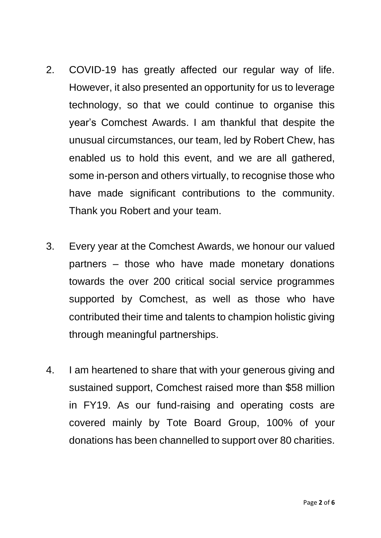- 2. COVID-19 has greatly affected our regular way of life. However, it also presented an opportunity for us to leverage technology, so that we could continue to organise this year's Comchest Awards. I am thankful that despite the unusual circumstances, our team, led by Robert Chew, has enabled us to hold this event, and we are all gathered, some in-person and others virtually, to recognise those who have made significant contributions to the community. Thank you Robert and your team.
- 3. Every year at the Comchest Awards, we honour our valued partners – those who have made monetary donations towards the over 200 critical social service programmes supported by Comchest, as well as those who have contributed their time and talents to champion holistic giving through meaningful partnerships.
- 4. I am heartened to share that with your generous giving and sustained support, Comchest raised more than \$58 million in FY19. As our fund-raising and operating costs are covered mainly by Tote Board Group, 100% of your donations has been channelled to support over 80 charities.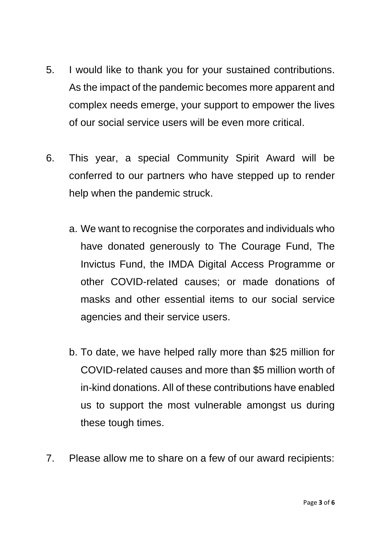- 5. I would like to thank you for your sustained contributions. As the impact of the pandemic becomes more apparent and complex needs emerge, your support to empower the lives of our social service users will be even more critical.
- 6. This year, a special Community Spirit Award will be conferred to our partners who have stepped up to render help when the pandemic struck.
	- a. We want to recognise the corporates and individuals who have donated generously to The Courage Fund, The Invictus Fund, the IMDA Digital Access Programme or other COVID-related causes; or made donations of masks and other essential items to our social service agencies and their service users.
	- b. To date, we have helped rally more than \$25 million for COVID-related causes and more than \$5 million worth of in-kind donations. All of these contributions have enabled us to support the most vulnerable amongst us during these tough times.
- 7. Please allow me to share on a few of our award recipients: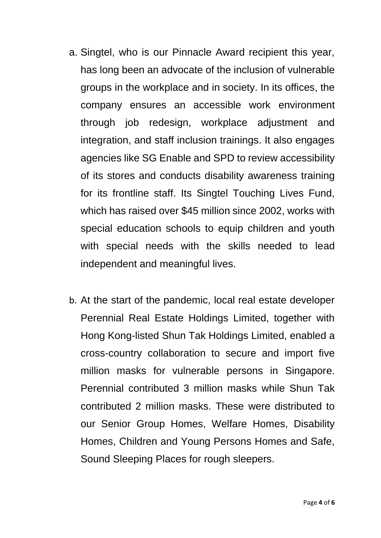- a. Singtel, who is our Pinnacle Award recipient this year, has long been an advocate of the inclusion of vulnerable groups in the workplace and in society. In its offices, the company ensures an accessible work environment through job redesign, workplace adjustment and integration, and staff inclusion trainings. It also engages agencies like SG Enable and SPD to review accessibility of its stores and conducts disability awareness training for its frontline staff. Its Singtel Touching Lives Fund, which has raised over \$45 million since 2002, works with special education schools to equip children and youth with special needs with the skills needed to lead independent and meaningful lives.
- b. At the start of the pandemic, local real estate developer Perennial Real Estate Holdings Limited, together with Hong Kong-listed Shun Tak Holdings Limited, enabled a cross-country collaboration to secure and import five million masks for vulnerable persons in Singapore. Perennial contributed 3 million masks while Shun Tak contributed 2 million masks. These were distributed to our Senior Group Homes, Welfare Homes, Disability Homes, Children and Young Persons Homes and Safe, Sound Sleeping Places for rough sleepers.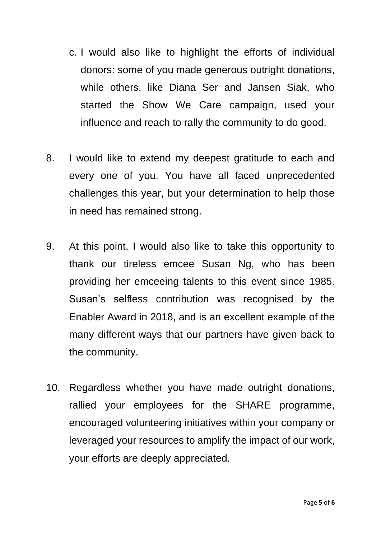- c. I would also like to highlight the efforts of individual donors: some of you made generous outright donations, while others, like Diana Ser and Jansen Siak, who started the Show We Care campaign, used your influence and reach to rally the community to do good.
- 8. I would like to extend my deepest gratitude to each and every one of you. You have all faced unprecedented challenges this year, but your determination to help those in need has remained strong.
- 9. At this point, I would also like to take this opportunity to thank our tireless emcee Susan Ng, who has been providing her emceeing talents to this event since 1985. Susan's selfless contribution was recognised by the Enabler Award in 2018, and is an excellent example of the many different ways that our partners have given back to the community.
- 10. Regardless whether you have made outright donations, rallied your employees for the SHARE programme, encouraged volunteering initiatives within your company or leveraged your resources to amplify the impact of our work, your efforts are deeply appreciated.